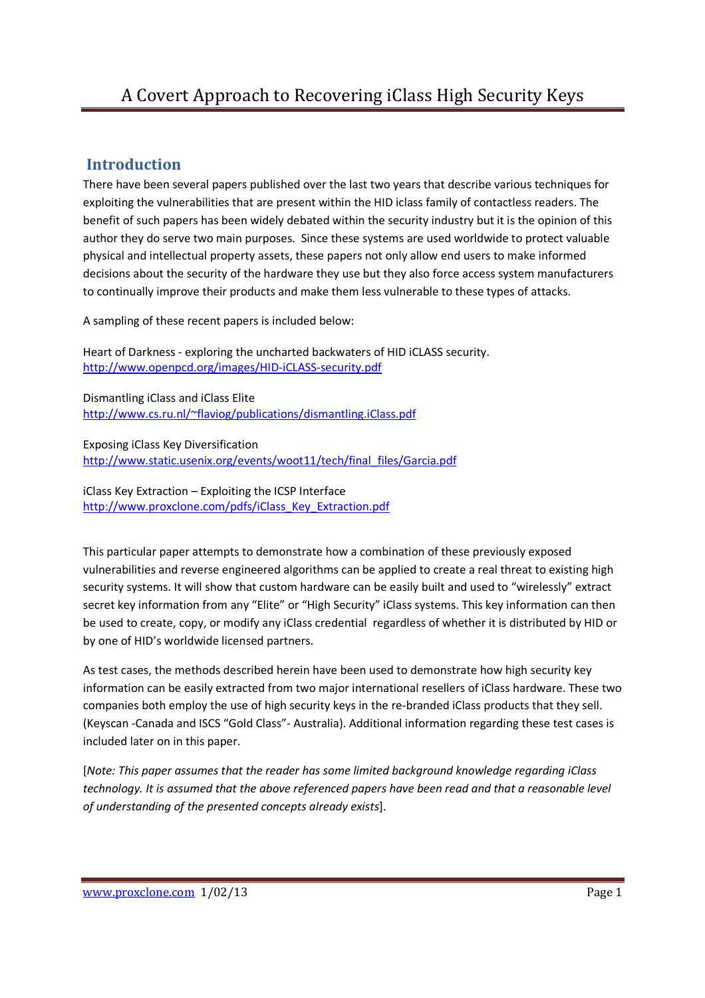#### **Introduction**

There have been several papers published over the last two years that describe various techniques for exploiting the vulnerabilities that are present within the HID iclass family of contactless readers. The benefit of such papers has been widely debated within the security industry but it is the opinion of this author they do serve two main purposes. Since these systems are used worldwide to protect valuable physical and intellectual property assets, these papers not only allow end users to make informed decisions about the security of the hardware they use but they also force access system manufacturers to continually improve their products and make them less vulnerable to these types of attacks.

A sampling of these recent papers is included below:

Heart of Darkness - exploring the uncharted backwaters of HID iCLASS security. http://www.openpcd.org/images/HID-iCLASS-security.pdf

Dismantling iClass and iClass Elite http://www.cs.ru.nl/~flaviog/publications/dismantling.iClass.pdf

Exposing iClass Key Diversification http://www.static.usenix.org/events/woot11/tech/final\_files/Garcia.pdf

iClass Key Extraction – Exploiting the ICSP Interface http://www.proxclone.com/pdfs/iClass\_Key\_Extraction.pdf

This particular paper attempts to demonstrate how a combination of these previously exposed vulnerabilities and reverse engineered algorithms can be applied to create a real threat to existing high security systems. It will show that custom hardware can be easily built and used to "wirelessly" extract secret key information from any "Elite" or "High Security" iClass systems. This key information can then be used to create, copy, or modify any iClass credential regardless of whether it is distributed by HID or by one of HID's worldwide licensed partners.

As test cases, the methods described herein have been used to demonstrate how high security key information can be easily extracted from two major international resellers of iClass hardware. These two companies both employ the use of high security keys in the re-branded iClass products that they sell. (Keyscan -Canada and ISCS "Gold Class"- Australia). Additional information regarding these test cases is included later on in this paper.

[*Note: This paper assumes that the reader has some limited background knowledge regarding iClass technology. It is assumed that the above referenced papers have been read and that a reasonable level of understanding of the presented concepts already exists*].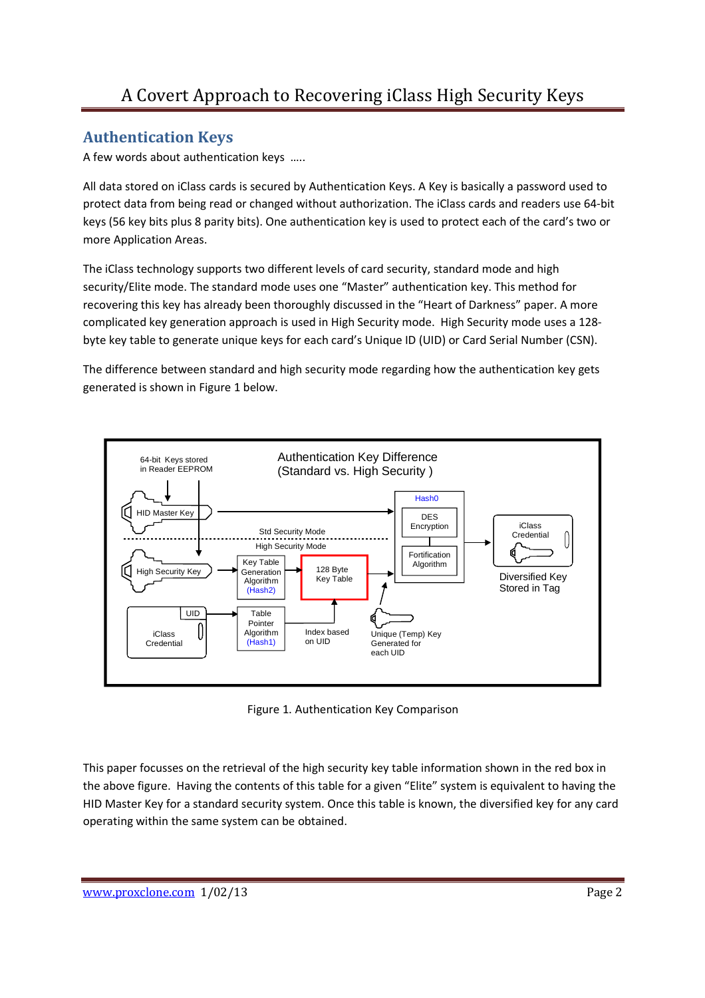### **Authentication Keys**

A few words about authentication keys …..

All data stored on iClass cards is secured by Authentication Keys. A Key is basically a password used to protect data from being read or changed without authorization. The iClass cards and readers use 64-bit keys (56 key bits plus 8 parity bits). One authentication key is used to protect each of the card's two or more Application Areas.

The iClass technology supports two different levels of card security, standard mode and high security/Elite mode. The standard mode uses one "Master" authentication key. This method for recovering this key has already been thoroughly discussed in the "Heart of Darkness" paper. A more complicated key generation approach is used in High Security mode. High Security mode uses a 128 byte key table to generate unique keys for each card's Unique ID (UID) or Card Serial Number (CSN).

The difference between standard and high security mode regarding how the authentication key gets generated is shown in Figure 1 below.



Figure 1. Authentication Key Comparison

This paper focusses on the retrieval of the high security key table information shown in the red box in the above figure. Having the contents of this table for a given "Elite" system is equivalent to having the HID Master Key for a standard security system. Once this table is known, the diversified key for any card operating within the same system can be obtained.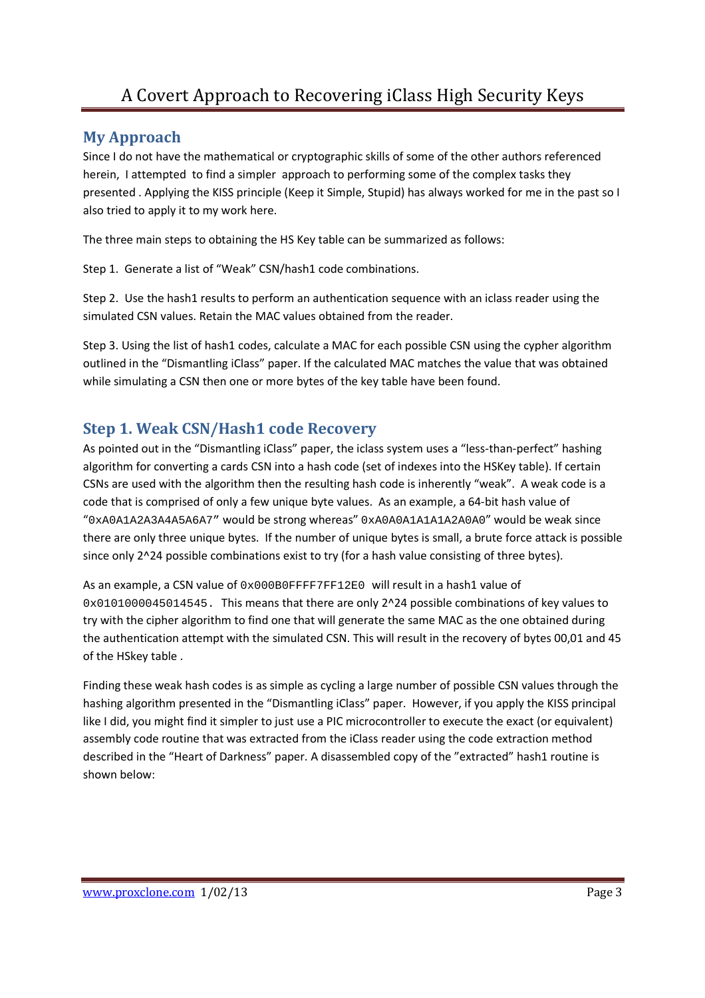#### **My Approach**

Since I do not have the mathematical or cryptographic skills of some of the other authors referenced herein, I attempted to find a simpler approach to performing some of the complex tasks they presented . Applying the KISS principle (Keep it Simple, Stupid) has always worked for me in the past so I also tried to apply it to my work here.

The three main steps to obtaining the HS Key table can be summarized as follows:

Step 1. Generate a list of "Weak" CSN/hash1 code combinations.

Step 2. Use the hash1 results to perform an authentication sequence with an iclass reader using the simulated CSN values. Retain the MAC values obtained from the reader.

Step 3. Using the list of hash1 codes, calculate a MAC for each possible CSN using the cypher algorithm outlined in the "Dismantling iClass" paper. If the calculated MAC matches the value that was obtained while simulating a CSN then one or more bytes of the key table have been found.

#### **Step 1. Weak CSN/Hash1 code Recovery**

As pointed out in the "Dismantling iClass" paper, the iclass system uses a "less-than-perfect" hashing algorithm for converting a cards CSN into a hash code (set of indexes into the HSKey table). If certain CSNs are used with the algorithm then the resulting hash code is inherently "weak". A weak code is a code that is comprised of only a few unique byte values. As an example, a 64-bit hash value of "0xA0A1A2A3A4A5A6A7" would be strong whereas" 0xA0A0A1A1A1A2A0A0" would be weak since there are only three unique bytes. If the number of unique bytes is small, a brute force attack is possible since only 2^24 possible combinations exist to try (for a hash value consisting of three bytes).

As an example, a CSN value of 0x000B0FFFF7FF12E0 will result in a hash1 value of 0x0101000045014545. This means that there are only 2^24 possible combinations of key values to try with the cipher algorithm to find one that will generate the same MAC as the one obtained during the authentication attempt with the simulated CSN. This will result in the recovery of bytes 00,01 and 45 of the HSkey table .

Finding these weak hash codes is as simple as cycling a large number of possible CSN values through the hashing algorithm presented in the "Dismantling iClass" paper. However, if you apply the KISS principal like I did, you might find it simpler to just use a PIC microcontroller to execute the exact (or equivalent) assembly code routine that was extracted from the iClass reader using the code extraction method described in the "Heart of Darkness" paper. A disassembled copy of the "extracted" hash1 routine is shown below: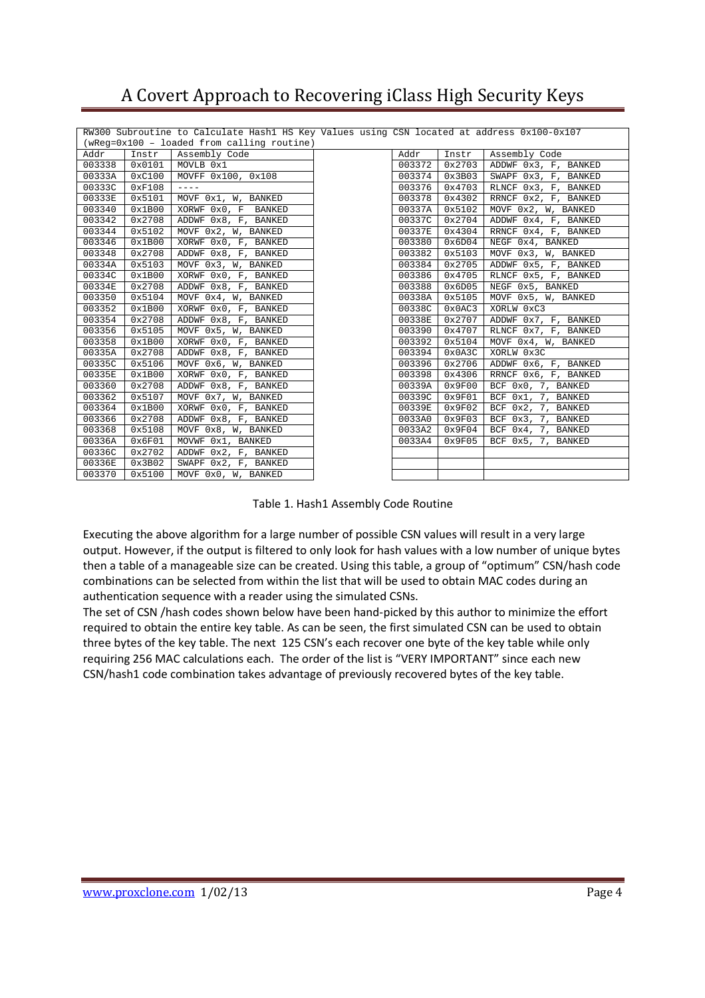|        |        | RW300 Subroutine to Calculate Hash1 HS Key Values using CSN located at address 0x100-0x107                                                                                                                                                                                                                                                                                                   |        |        |                              |
|--------|--------|----------------------------------------------------------------------------------------------------------------------------------------------------------------------------------------------------------------------------------------------------------------------------------------------------------------------------------------------------------------------------------------------|--------|--------|------------------------------|
|        |        | (wReg=0x100 - loaded from calling routine)                                                                                                                                                                                                                                                                                                                                                   |        |        |                              |
| Addr   | Instr  | Assembly Code                                                                                                                                                                                                                                                                                                                                                                                | Addr   | Instr  | Assembly Code                |
| 003338 | 0x0101 | MOVLB 0x1                                                                                                                                                                                                                                                                                                                                                                                    | 003372 | 0x2703 | ADDWF 0x3, F, BANKED         |
| 00333A | 0xC100 | MOVFF 0x100, 0x108                                                                                                                                                                                                                                                                                                                                                                           | 003374 | 0x3B03 | SWAPF 0x3, F, BANKED         |
| 00333C | 0xF108 | $\frac{1}{2} \frac{1}{2} \frac{1}{2} \frac{1}{2} \frac{1}{2} \frac{1}{2} \frac{1}{2} \frac{1}{2} \frac{1}{2} \frac{1}{2} \frac{1}{2} \frac{1}{2} \frac{1}{2} \frac{1}{2} \frac{1}{2} \frac{1}{2} \frac{1}{2} \frac{1}{2} \frac{1}{2} \frac{1}{2} \frac{1}{2} \frac{1}{2} \frac{1}{2} \frac{1}{2} \frac{1}{2} \frac{1}{2} \frac{1}{2} \frac{1}{2} \frac{1}{2} \frac{1}{2} \frac{1}{2} \frac{$ | 003376 | 0x4703 | RLNCF 0x3, F, BANKED         |
| 00333E | 0x5101 | MOVF 0x1, W, BANKED                                                                                                                                                                                                                                                                                                                                                                          | 003378 | 0x4302 | RRNCF 0x2, F, BANKED         |
| 003340 | 0x1B00 | XORWF 0x0, F BANKED                                                                                                                                                                                                                                                                                                                                                                          | 00337A | 0x5102 | MOVF 0x2, W, BANKED          |
| 003342 | 0x2708 | ADDWF 0x8, F, BANKED                                                                                                                                                                                                                                                                                                                                                                         | 00337C | 0x2704 | ADDWF 0x4, F, BANKED         |
| 003344 | 0x5102 | MOVF 0x2, W, BANKED                                                                                                                                                                                                                                                                                                                                                                          | 00337E | 0x4304 | RRNCF 0x4, F, BANKED         |
| 003346 | 0x1B00 | XORWF 0x0, F, BANKED                                                                                                                                                                                                                                                                                                                                                                         | 003380 | 0x6D04 | NEGF 0x4, BANKED             |
| 003348 | 0x2708 | ADDWF 0x8, F, BANKED                                                                                                                                                                                                                                                                                                                                                                         | 003382 | 0x5103 | MOVF 0x3, W, BANKED          |
| 00334A | 0x5103 | MOVF 0x3, W, BANKED                                                                                                                                                                                                                                                                                                                                                                          | 003384 | 0x2705 | ADDWF 0x5, F, BANKED         |
| 00334C | 0x1B00 | XORWF 0x0, F, BANKED                                                                                                                                                                                                                                                                                                                                                                         | 003386 | 0x4705 | RLNCF 0x5, F, BANKED         |
| 00334E | 0x2708 | ADDWF 0x8, F, BANKED                                                                                                                                                                                                                                                                                                                                                                         | 003388 | 0x6D05 | NEGF 0x5, BANKED             |
| 003350 | 0x5104 | MOVF 0x4, W, BANKED                                                                                                                                                                                                                                                                                                                                                                          | 00338A | 0x5105 | MOVF 0x5, W, BANKED          |
| 003352 | 0x1B00 | XORWF 0x0, F, BANKED                                                                                                                                                                                                                                                                                                                                                                         | 00338C | 0x0AC3 | XORLW 0xC3                   |
| 003354 | 0x2708 | ADDWF 0x8, F, BANKED                                                                                                                                                                                                                                                                                                                                                                         | 00338E | 0x2707 | ADDWF 0x7, F, BANKED         |
| 003356 | 0x5105 | MOVF 0x5, W, BANKED                                                                                                                                                                                                                                                                                                                                                                          | 003390 | 0x4707 | RLNCF 0x7, F, BANKED         |
| 003358 | 0x1B00 | XORWF 0x0, F, BANKED                                                                                                                                                                                                                                                                                                                                                                         | 003392 | 0x5104 | MOVF 0x4, W, BANKED          |
| 00335A | 0x2708 | ADDWF 0x8, F, BANKED                                                                                                                                                                                                                                                                                                                                                                         | 003394 | 0x0A3C | XORLW 0x3C                   |
| 00335C | 0x5106 | MOVF 0x6, W, BANKED                                                                                                                                                                                                                                                                                                                                                                          | 003396 | 0x2706 | ADDWF 0x6, F, BANKED         |
| 00335E | 0x1B00 | XORWF 0x0, F, BANKED                                                                                                                                                                                                                                                                                                                                                                         | 003398 | 0x4306 | RRNCF 0x6, F, BANKED         |
| 003360 | 0x2708 | ADDWF 0x8, F, BANKED                                                                                                                                                                                                                                                                                                                                                                         | 00339A | 0x9F00 | BCF 0x0, 7, BANKED           |
| 003362 | 0x5107 | MOVF 0x7, W, BANKED                                                                                                                                                                                                                                                                                                                                                                          | 00339C | 0x9F01 | 0x1, 7, BANKED<br>BCF        |
| 003364 | 0x1B00 | XORWF 0x0, F, BANKED                                                                                                                                                                                                                                                                                                                                                                         | 00339E | 0x9F02 | 0x2, 7, BANKED<br>BCF        |
| 003366 | 0x2708 | ADDWF 0x8, F, BANKED                                                                                                                                                                                                                                                                                                                                                                         | 0033A0 | 0x9F03 | <b>BCF</b><br>0x3, 7, BANKED |
| 003368 | 0x5108 | MOVF 0x8, W, BANKED                                                                                                                                                                                                                                                                                                                                                                          | 0033A2 | 0x9F04 | BCF 0x4, 7, BANKED           |
| 00336A | 0x6F01 | MOVWF 0x1, BANKED                                                                                                                                                                                                                                                                                                                                                                            | 0033A4 | 0x9F05 | BCF 0x5, 7, BANKED           |
| 00336C | 0x2702 | ADDWF 0x2, F, BANKED                                                                                                                                                                                                                                                                                                                                                                         |        |        |                              |
| 00336E | 0x3B02 | SWAPF 0x2, F, BANKED                                                                                                                                                                                                                                                                                                                                                                         |        |        |                              |
| 003370 | 0x5100 | MOVF 0x0, W, BANKED                                                                                                                                                                                                                                                                                                                                                                          |        |        |                              |

Table 1. Hash1 Assembly Code Routine

Executing the above algorithm for a large number of possible CSN values will result in a very large output. However, if the output is filtered to only look for hash values with a low number of unique bytes then a table of a manageable size can be created. Using this table, a group of "optimum" CSN/hash code combinations can be selected from within the list that will be used to obtain MAC codes during an authentication sequence with a reader using the simulated CSNs.

The set of CSN /hash codes shown below have been hand-picked by this author to minimize the effort required to obtain the entire key table. As can be seen, the first simulated CSN can be used to obtain three bytes of the key table. The next 125 CSN's each recover one byte of the key table while only requiring 256 MAC calculations each. The order of the list is "VERY IMPORTANT" since each new CSN/hash1 code combination takes advantage of previously recovered bytes of the key table.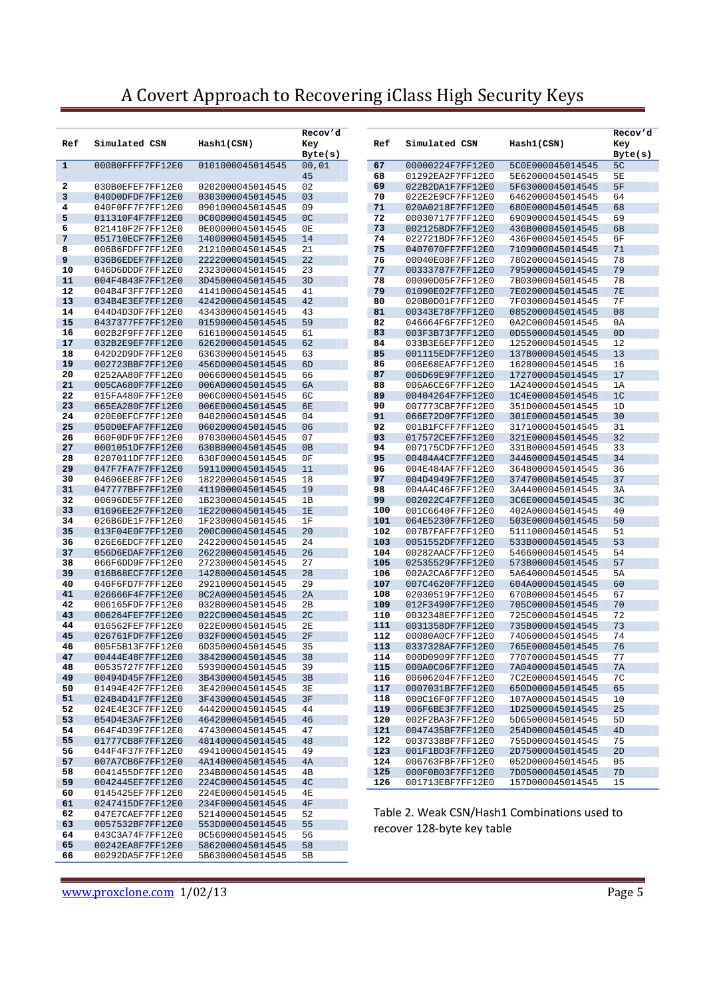|              |                                      |                                      | Recov'd              |            |                                              |                                      | Recov'd        |
|--------------|--------------------------------------|--------------------------------------|----------------------|------------|----------------------------------------------|--------------------------------------|----------------|
| Ref          | Simulated CSN                        | Hash1(CSN)                           | Key                  | Ref        | Simulated CSN                                | Hash1(CSN)                           | Key            |
| $\mathbf{1}$ |                                      |                                      | Byte(s)              |            |                                              |                                      | Byte(s)<br>5C  |
|              | 000B0FFFF7FF12E0                     | 0101000045014545                     | 00,01<br>45          | 67<br>68   | 00000224F7FF12E0<br>01292EA2F7FF12E0         | 5C0E000045014545<br>5E62000045014545 | 5E             |
| 2            | 030B0EFEF7FF12E0                     | 0202000045014545                     | 02                   | 69         | 022B2DA1F7FF12E0                             | 5F63000045014545                     | 5F             |
| 3            | 040D0DFDF7FF12E0                     | 0303000045014545                     | 03                   | 70         | 022E2E9CF7FF12E0                             | 6462000045014545                     | 64             |
| 4            | 040F0FF7F7FF12E0                     | 0901000045014545                     | 09                   | 71         | 020A0218F7FF12E0                             | 680E000045014545                     | 68             |
| 5            | 011310F4F7FF12E0                     | 0C00000045014545                     | 0 <sup>C</sup>       | 72         | 00030717F7FF12E0                             | 6909000045014545                     | 69             |
| 6            | 021410F2F7FF12E0                     | 0E00000045014545                     | 0E                   | 73         | 002125BDF7FF12E0                             | 436B000045014545                     | 6B             |
| 7            | 051710ECF7FF12E0                     | 1400000045014545                     | 14                   | 74         | 022721BDF7FF12E0                             | 436F000045014545                     | 6F             |
| 8            | 006B6FDFF7FF12E0                     | 2121000045014545                     | 21                   | 75         | 0407070FF7FF12E0                             | 7109000045014545                     | 71             |
| 9<br>10      | 036B6EDEF7FF12E0<br>046D6DDDF7FF12E0 | 2222000045014545<br>2323000045014545 | 22<br>23             | 76<br>77   | 00040E08F7FF12E0<br>00333787F7FF12E0         | 7802000045014545<br>7959000045014545 | 78<br>79       |
| 11           | 004F4B43F7FF12E0                     | 3D45000045014545                     | 3D                   | 78         | 00090D05F7FF12E0                             | 7B03000045014545                     | 7B             |
| 12           | 004B4F3FF7FF12E0                     | 4141000045014545                     | 41                   | 79         | 01090E02F7FF12E0                             | 7E02000045014545                     | 7E             |
| 13           | 034B4E3EF7FF12E0                     | 4242000045014545                     | 42                   | 80         | 020B0D01F7FF12E0                             | 7F03000045014545                     | <b>7F</b>      |
| 14           | 044D4D3DF7FF12E0                     | 4343000045014545                     | 43                   | 81         | 00343E78F7FF12E0                             | 0852000045014545                     | 08             |
| 15           | 0437377FF7FF12E0                     | 0159000045014545                     | 59                   | 82         | 046664F6F7FF12E0                             | 0A2C000045014545                     | 0A             |
| 16           | 002B2F9FF7FF12E0                     | 6161000045014545                     | 61                   | 83         | 003F3B73F7FF12E0                             | 0D55000045014545                     | 0 <sub>D</sub> |
| 17           | 032B2E9EF7FF12E0                     | 6262000045014545                     | 62                   | 84         | 033B3E6EF7FF12E0                             | 1252000045014545                     | 12             |
| 18<br>19     | 042D2D9DF7FF12E0                     | 6363000045014545                     | 63                   | 85         | 001115EDF7FF12E0                             | 137B000045014545                     | 13             |
| 20           | 002723BBF7FF12E0<br>0252AA80F7FF12E0 | 456D000045014545<br>0066000045014545 | 6 <sub>D</sub><br>66 | 86<br>87   | 006E68EAF7FF12E0<br>006D69E9F7FF12E0         | 1628000045014545<br>1727000045014545 | 16<br>17       |
| 21           | 005CA680F7FF12E0                     | 006A000045014545                     | 6A                   | 88         | 006A6CE6F7FF12E0                             | 1A24000045014545                     | 1A             |
| 22           | 015FA480F7FF12E0                     | 006C000045014545                     | 6C                   | 89         | 00404264F7FF12E0                             | 1C4E000045014545                     | 1 <sup>C</sup> |
| 23           | 065EA280F7FF12E0                     | 006E000045014545                     | 6E                   | 90         | 007773CBF7FF12E0                             | 351D000045014545                     | 1D             |
| 24           | 020E0EFCF7FF12E0                     | 0402000045014545                     | 04                   | 91         | 066E72D0F7FF12E0                             | 301E000045014545                     | 30             |
| 25           | 050D0EFAF7FF12E0                     | 0602000045014545                     | 06                   | 92         | 001B1FCFF7FF12E0                             | 3171000045014545                     | 31             |
| 26           | 060F0DF9F7FF12E0                     | 0703000045014545                     | 07                   | 93         | 017572CEF7FF12E0                             | 321E000045014545                     | 32             |
| 27           | 0001051DF7FF12E0                     | 630B000045014545                     | 0B                   | 94         | 007175CDF7FF12E0                             | 331B000045014545                     | 33             |
| 28<br>29     | 0207011DF7FF12E0<br>047F7FA7F7FF12E0 | 630F000045014545<br>5911000045014545 | 0F<br>11             | 95<br>96   | 00484A4CF7FF12E0<br>004E484AF7FF12E0         | 3446000045014545<br>3648000045014545 | 34<br>36       |
| 30           | 04606EE8F7FF12E0                     | 1822000045014545                     | 18                   | 97         | 004D4949F7FF12E0                             | 3747000045014545                     | 37             |
| 31           | 047777BFF7FF12E0                     | 4119000045014545                     | 19                   | 98         | 004A4C46F7FF12E0                             | 3A44000045014545                     | 3A             |
| 32           | 00696DE5F7FF12E0                     | 1B23000045014545                     | 1B                   | 99         | 002022C4F7FF12E0                             | 3C6E000045014545                     | 3 <sup>c</sup> |
| 33           | 01696EE2F7FF12E0                     | 1E22000045014545                     | 1E                   | 100        | 001C6640F7FF12E0                             | 402A000045014545                     | 40             |
| 34           | 026B6DE1F7FF12E0                     | 1F23000045014545                     | 1F                   | 101        | 064E5230F7FF12E0                             | 503E000045014545                     | 50             |
| 35           | 013F04E0F7FF12E0                     | 200C000045014545                     | 20                   | 102        | 007B7FAFF7FF12E0                             | 5111000045014545                     | 51             |
| 36           | 026E6EDCF7FF12E0                     | 2422000045014545                     | 24                   | 103        | 0051552DF7FF12E0                             | 533B000045014545                     | 53             |
| 37<br>38     | 056D6EDAF7FF12E0<br>066F6DD9F7FF12E0 | 2622000045014545<br>2723000045014545 | 26<br>27             | 104<br>105 | 00282AACF7FF12E0<br>02535529F7FF12E0         | 5466000045014545<br>573B000045014545 | 54<br>57       |
| 39           | 016B68ECF7FF12E0                     | 1428000045014545                     | 28                   | 106        | 002A2CA6F7FF12E0                             | 5A64000045014545                     | 5A             |
| 40           | 046F6FD7F7FF12E0                     | 2921000045014545                     | 29                   | 107        | 007C4620F7FF12E0                             | 604A000045014545                     | 60             |
| 41           | 026666F4F7FF12E0                     | 0C2A000045014545                     | 2A                   | 108        | 02030519F7FF12E0                             | 670B000045014545                     | 67             |
| 42           | 006165FDF7FF12E0                     | 032B000045014545                     | 2B                   | 109        | 012F3490F7FF12E0                             | 705C000045014545                     | 70             |
| 43           | 006264FEF7FF12E0                     | 022C000045014545                     | 2 <sub>C</sub>       | 110        | 0032348EF7FF12E0                             | 725C000045014545                     | 72             |
| 44           | 016562FEF7FF12E0                     | 022E000045014545                     | 2E                   | 111        | 0031358DF7FF12E0                             | 735B000045014545                     | 73             |
| 45           | 026761FDF7FF12E0                     | 032F000045014545                     | 2F                   | 112        | 00080A0CF7FF12E0                             | 7406000045014545                     | 74             |
| 46<br>47     | 005F5B13F7FF12E0<br>00444E48F7FF12E0 | 6D35000045014545<br>3842000045014545 | 35<br>38             | 113        | 0337328AF7FF12E0<br>000D0909F7FF12E0         | 765E000045014545<br>7707000045014545 | 76<br>77       |
| 48           | 00535727F7FF12E0                     | 5939000045014545                     | 39                   | 114<br>115 | 000A0C06F7FF12E0                             | 7A04000045014545                     | 7А             |
| 49           | 00494D45F7FF12E0                     | 3B43000045014545                     | 3B                   | 116        | 00606204F7FF12E0                             | 7C2E000045014545                     | 7C             |
| 50           | 01494E42F7FF12E0                     | 3E42000045014545                     | 3E                   | 117        | 0007031BF7FF12E0                             | 650D000045014545                     | 65             |
| 51           | 024B4D41F7FF12E0                     | 3F43000045014545                     | 3F                   | 118        | 000C16F0F7FF12E0                             | 107A000045014545                     | 10             |
| 52           | 024E4E3CF7FF12E0                     | 4442000045014545                     | 44                   | 119        | 006F6BE3F7FF12E0                             | 1D25000045014545                     | 25             |
| 53           | 054D4E3AF7FF12E0                     | 4642000045014545                     | 46                   | 120        | 002F2BA3F7FF12E0                             | 5D65000045014545                     | 5D             |
| 54           | 064F4D39F7FF12E0                     | 4743000045014545                     | 47                   | 121        | 0047435BF7FF12E0                             | 254D000045014545                     | 4D             |
| 55           | 01777CB8F7FF12E0                     | 4814000045014545                     | 48                   | 122        | 0037338BF7FF12E0                             | 755D000045014545                     | 75             |
| 56<br>57     | 044F4F37F7FF12E0<br>007A7CB6F7FF12E0 | 4941000045014545<br>4A14000045014545 | 49<br>4A             | 123<br>124 | 001F1BD3F7FF12E0<br>006763FBF7FF12E0         | 2D75000045014545<br>052D000045014545 | 2D<br>05       |
| 58           | 0041455DF7FF12E0                     | 234B000045014545                     | 4В                   | 125        | 000F0B03F7FF12E0                             | 7D05000045014545                     | 7D             |
| 59           | 0042445EF7FF12E0                     | 224C000045014545                     | 4 <sup>C</sup>       | 126        | 001713EBF7FF12E0                             | 157D000045014545                     | 15             |
| 60           | 0145425EF7FF12E0                     | 224E000045014545                     | 4E                   |            |                                              |                                      |                |
| 61           | 0247415DF7FF12E0                     | 234F000045014545                     | 4F                   |            |                                              |                                      |                |
| 62           | 047E7CAEF7FF12E0                     | 5214000045014545                     | 52                   |            | Table 2. Weak CSN/Hash1 Combinations used to |                                      |                |
| 63           | 0057532BF7FF12E0                     | 553D000045014545                     | 55                   |            | recover 128-byte key table                   |                                      |                |
| 64           | 043C3A74F7FF12E0                     | 0C56000045014545                     | 56                   |            |                                              |                                      |                |
| 65           | 00242EA8F7FF12E0                     | 5862000045014545                     | 58                   |            |                                              |                                      |                |
| 66           | 00292DA5F7FF12E0                     | 5B63000045014545                     | 5 <sub>B</sub>       |            |                                              |                                      |                |

www.proxclone.com 1/02/13 Page 5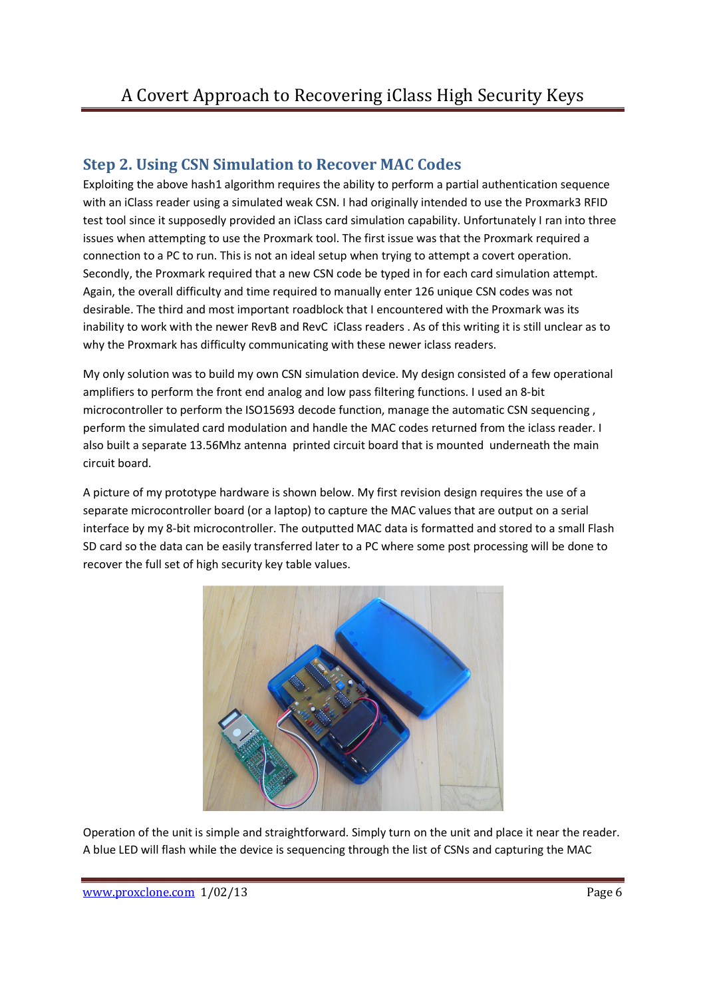### **Step 2. Using CSN Simulation to Recover MAC Codes**

Exploiting the above hash1 algorithm requires the ability to perform a partial authentication sequence with an iClass reader using a simulated weak CSN. I had originally intended to use the Proxmark3 RFID test tool since it supposedly provided an iClass card simulation capability. Unfortunately I ran into three issues when attempting to use the Proxmark tool. The first issue was that the Proxmark required a connection to a PC to run. This is not an ideal setup when trying to attempt a covert operation. Secondly, the Proxmark required that a new CSN code be typed in for each card simulation attempt. Again, the overall difficulty and time required to manually enter 126 unique CSN codes was not desirable. The third and most important roadblock that I encountered with the Proxmark was its inability to work with the newer RevB and RevC iClass readers . As of this writing it is still unclear as to why the Proxmark has difficulty communicating with these newer iclass readers.

My only solution was to build my own CSN simulation device. My design consisted of a few operational amplifiers to perform the front end analog and low pass filtering functions. I used an 8-bit microcontroller to perform the ISO15693 decode function, manage the automatic CSN sequencing , perform the simulated card modulation and handle the MAC codes returned from the iclass reader. I also built a separate 13.56Mhz antenna printed circuit board that is mounted underneath the main circuit board.

A picture of my prototype hardware is shown below. My first revision design requires the use of a separate microcontroller board (or a laptop) to capture the MAC values that are output on a serial interface by my 8-bit microcontroller. The outputted MAC data is formatted and stored to a small Flash SD card so the data can be easily transferred later to a PC where some post processing will be done to recover the full set of high security key table values.



Operation of the unit is simple and straightforward. Simply turn on the unit and place it near the reader. A blue LED will flash while the device is sequencing through the list of CSNs and capturing the MAC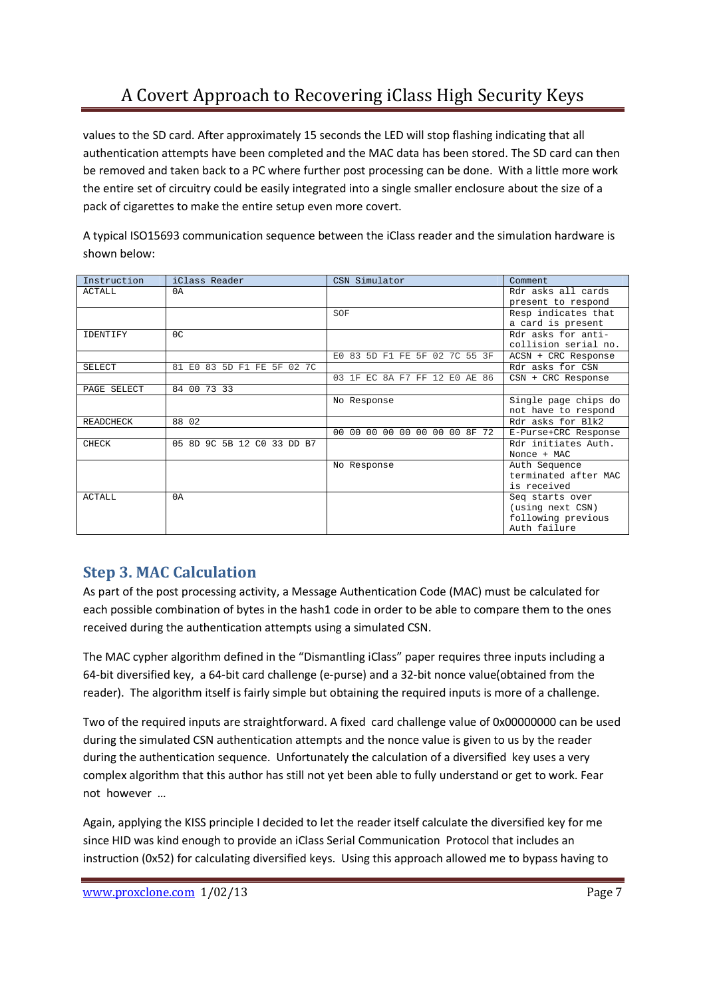values to the SD card. After approximately 15 seconds the LED will stop flashing indicating that all authentication attempts have been completed and the MAC data has been stored. The SD card can then be removed and taken back to a PC where further post processing can be done. With a little more work the entire set of circuitry could be easily integrated into a single smaller enclosure about the size of a pack of cigarettes to make the entire setup even more covert.

A typical ISO15693 communication sequence between the iClass reader and the simulation hardware is shown below:

| Instruction      | iClass Reader              | CSN Simulator                 | Comment              |
|------------------|----------------------------|-------------------------------|----------------------|
| <b>ACTALL</b>    | 0A                         |                               | Rdr asks all cards   |
|                  |                            |                               | present to respond   |
|                  |                            | SOF                           | Resp indicates that  |
|                  |                            |                               | a card is present    |
| <b>IDENTIFY</b>  | 0 <sup>c</sup>             |                               | Rdr asks for anti-   |
|                  |                            |                               | collision serial no. |
|                  |                            | E0 83 5D F1 FE 5F 02 7C 55 3F | ACSN + CRC Response  |
| SELECT           | 81 E0 83 5D F1 FE 5F 02 7C |                               | Rdr asks for CSN     |
|                  |                            | 03 1F EC 8A F7 FF 12 E0 AE 86 | $CSN + CRC$ Response |
| PAGE SELECT      | 84 00 73 33                |                               |                      |
|                  |                            | No Response                   | Single page chips do |
|                  |                            |                               | not have to respond  |
| <b>READCHECK</b> | 88 02                      |                               | Rdr asks for Blk2    |
|                  |                            | 00 00 00 00 00 00 00 00 8F 72 | E-Purse+CRC Response |
| CHECK            | 05 8D 9C 5B 12 C0 33 DD B7 |                               | Rdr initiates Auth.  |
|                  |                            |                               | Nonce + MAC          |
|                  |                            | No Response                   | Auth Sequence        |
|                  |                            |                               | terminated after MAC |
|                  |                            |                               | is received          |
| <b>ACTALL</b>    | 0A                         |                               | Seq starts over      |
|                  |                            |                               | (using next CSN)     |
|                  |                            |                               | following previous   |
|                  |                            |                               | Auth failure         |

### **Step 3. MAC Calculation**

As part of the post processing activity, a Message Authentication Code (MAC) must be calculated for each possible combination of bytes in the hash1 code in order to be able to compare them to the ones received during the authentication attempts using a simulated CSN.

The MAC cypher algorithm defined in the "Dismantling iClass" paper requires three inputs including a 64-bit diversified key, a 64-bit card challenge (e-purse) and a 32-bit nonce value(obtained from the reader). The algorithm itself is fairly simple but obtaining the required inputs is more of a challenge.

Two of the required inputs are straightforward. A fixed card challenge value of 0x00000000 can be used during the simulated CSN authentication attempts and the nonce value is given to us by the reader during the authentication sequence. Unfortunately the calculation of a diversified key uses a very complex algorithm that this author has still not yet been able to fully understand or get to work. Fear not however …

Again, applying the KISS principle I decided to let the reader itself calculate the diversified key for me since HID was kind enough to provide an iClass Serial Communication Protocol that includes an instruction (0x52) for calculating diversified keys. Using this approach allowed me to bypass having to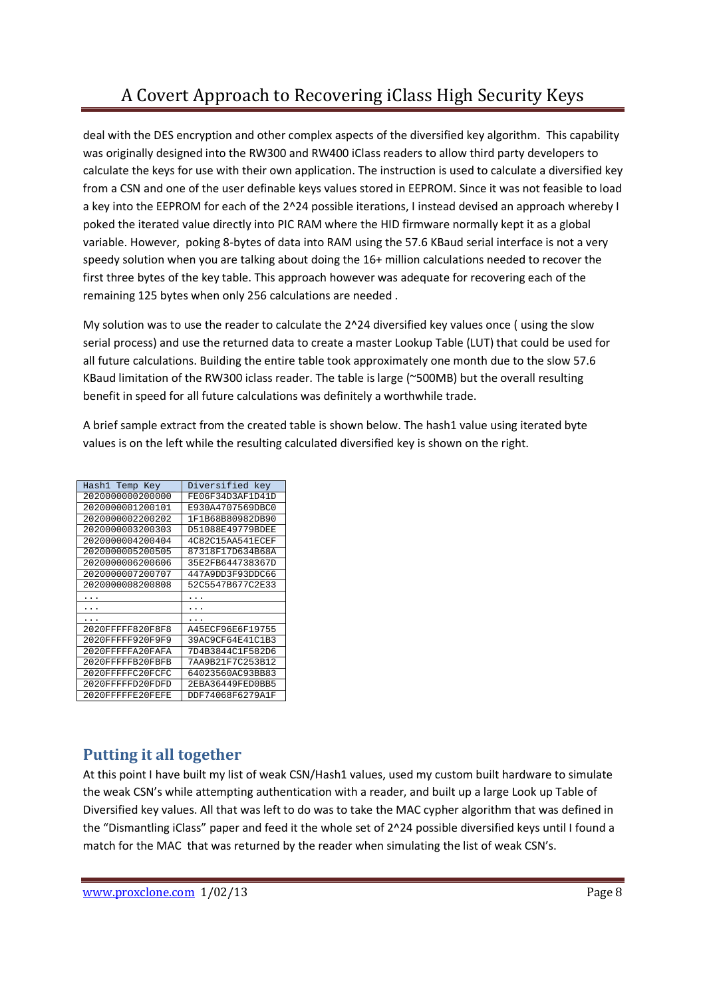deal with the DES encryption and other complex aspects of the diversified key algorithm. This capability was originally designed into the RW300 and RW400 iClass readers to allow third party developers to calculate the keys for use with their own application. The instruction is used to calculate a diversified key from a CSN and one of the user definable keys values stored in EEPROM. Since it was not feasible to load a key into the EEPROM for each of the 2^24 possible iterations, I instead devised an approach whereby I poked the iterated value directly into PIC RAM where the HID firmware normally kept it as a global variable. However, poking 8-bytes of data into RAM using the 57.6 KBaud serial interface is not a very speedy solution when you are talking about doing the 16+ million calculations needed to recover the first three bytes of the key table. This approach however was adequate for recovering each of the remaining 125 bytes when only 256 calculations are needed .

My solution was to use the reader to calculate the 2^24 diversified key values once ( using the slow serial process) and use the returned data to create a master Lookup Table (LUT) that could be used for all future calculations. Building the entire table took approximately one month due to the slow 57.6 KBaud limitation of the RW300 iclass reader. The table is large (~500MB) but the overall resulting benefit in speed for all future calculations was definitely a worthwhile trade.

A brief sample extract from the created table is shown below. The hash1 value using iterated byte values is on the left while the resulting calculated diversified key is shown on the right.

| Hash1 Temp Key   | Diversified key  |
|------------------|------------------|
| 2020000000200000 | FE06F34D3AF1D41D |
| 2020000001200101 | E930A4707569DBC0 |
| 2020000002200202 | 1F1B68B80982DB90 |
| 2020000003200303 | D51088E49779BDEE |
| 2020000004200404 | 4C82C15AA541ECEF |
| 2020000005200505 | 87318F17D634B68A |
| 2020000006200606 | 35E2FB644738367D |
| 2020000007200707 | 447A9DD3F93DDC66 |
| 2020000008200808 | 52C5547B677C2E33 |
|                  |                  |
|                  |                  |
|                  |                  |
|                  |                  |
| 2020FFFFF820F8F8 | A45ECF96E6F19755 |
| 2020FFFFF920F9F9 | 39AC9CF64E41C1B3 |
| 2020FFFFFA20FAFA | 7D4B3844C1F582D6 |
| 2020FFFFFB20FBFB | 7AA9B21F7C253B12 |
| 2020FFFFFC20FCFC | 64023560AC93BB83 |
| 2020FFFFFD20FDFD | 2EBA36449FED0BB5 |

### **Putting it all together**

At this point I have built my list of weak CSN/Hash1 values, used my custom built hardware to simulate the weak CSN's while attempting authentication with a reader, and built up a large Look up Table of Diversified key values. All that was left to do was to take the MAC cypher algorithm that was defined in the "Dismantling iClass" paper and feed it the whole set of 2^24 possible diversified keys until I found a match for the MAC that was returned by the reader when simulating the list of weak CSN's.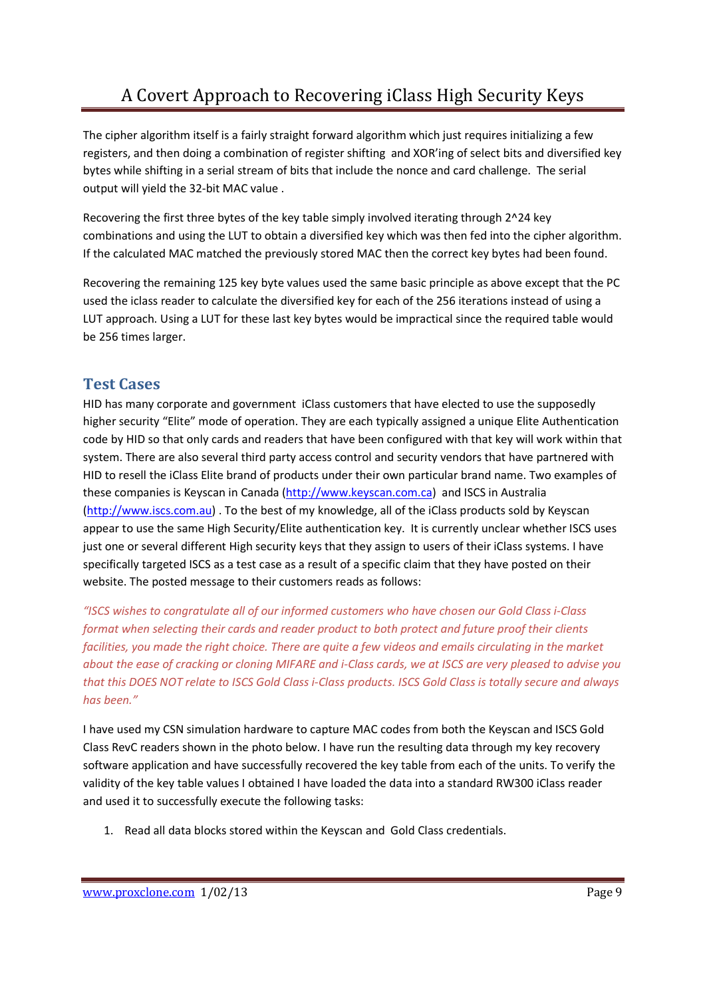The cipher algorithm itself is a fairly straight forward algorithm which just requires initializing a few registers, and then doing a combination of register shifting and XOR'ing of select bits and diversified key bytes while shifting in a serial stream of bits that include the nonce and card challenge. The serial output will yield the 32-bit MAC value .

Recovering the first three bytes of the key table simply involved iterating through 2^24 key combinations and using the LUT to obtain a diversified key which was then fed into the cipher algorithm. If the calculated MAC matched the previously stored MAC then the correct key bytes had been found.

Recovering the remaining 125 key byte values used the same basic principle as above except that the PC used the iclass reader to calculate the diversified key for each of the 256 iterations instead of using a LUT approach. Using a LUT for these last key bytes would be impractical since the required table would be 256 times larger.

### **Test Cases**

HID has many corporate and government iClass customers that have elected to use the supposedly higher security "Elite" mode of operation. They are each typically assigned a unique Elite Authentication code by HID so that only cards and readers that have been configured with that key will work within that system. There are also several third party access control and security vendors that have partnered with HID to resell the iClass Elite brand of products under their own particular brand name. Two examples of these companies is Keyscan in Canada (http://www.keyscan.com.ca) and ISCS in Australia (http://www.iscs.com.au) . To the best of my knowledge, all of the iClass products sold by Keyscan appear to use the same High Security/Elite authentication key. It is currently unclear whether ISCS uses just one or several different High security keys that they assign to users of their iClass systems. I have specifically targeted ISCS as a test case as a result of a specific claim that they have posted on their website. The posted message to their customers reads as follows:

*"ISCS wishes to congratulate all of our informed customers who have chosen our Gold Class i-Class format when selecting their cards and reader product to both protect and future proof their clients facilities, you made the right choice. There are quite a few videos and emails circulating in the market about the ease of cracking or cloning MIFARE and i-Class cards, we at ISCS are very pleased to advise you that this DOES NOT relate to ISCS Gold Class i-Class products. ISCS Gold Class is totally secure and always has been."* 

I have used my CSN simulation hardware to capture MAC codes from both the Keyscan and ISCS Gold Class RevC readers shown in the photo below. I have run the resulting data through my key recovery software application and have successfully recovered the key table from each of the units. To verify the validity of the key table values I obtained I have loaded the data into a standard RW300 iClass reader and used it to successfully execute the following tasks:

1. Read all data blocks stored within the Keyscan and Gold Class credentials.